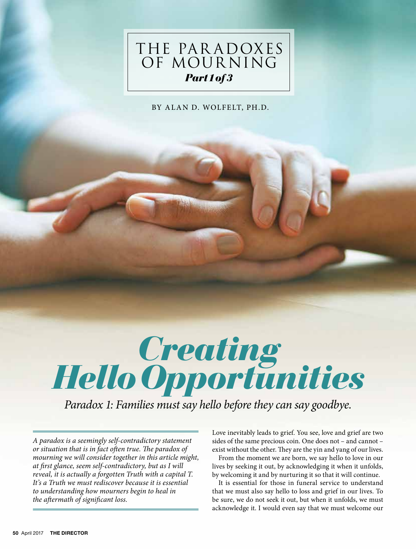

BY ALAN D. WOLFELT, PH.D.



*Paradox 1: Families must say hello before they can say goodbye.*

*A paradox is a seemingly self-contradictory statement or situation that is in fact often true. The paradox of mourning we will consider together in this article might, at first glance, seem self-contradictory, but as I will reveal, it is actually a forgotten Truth with a capital T. It's a Truth we must rediscover because it is essential to understanding how mourners begin to heal in the aftermath of significant loss.*

Love inevitably leads to grief. You see, love and grief are two sides of the same precious coin. One does not – and cannot – exist without the other. They are the yin and yang of our lives.

From the moment we are born, we say hello to love in our lives by seeking it out, by acknowledging it when it unfolds, by welcoming it and by nurturing it so that it will continue.

It is essential for those in funeral service to understand that we must also say hello to loss and grief in our lives. To be sure, we do not seek it out, but when it unfolds, we must acknowledge it. I would even say that we must welcome our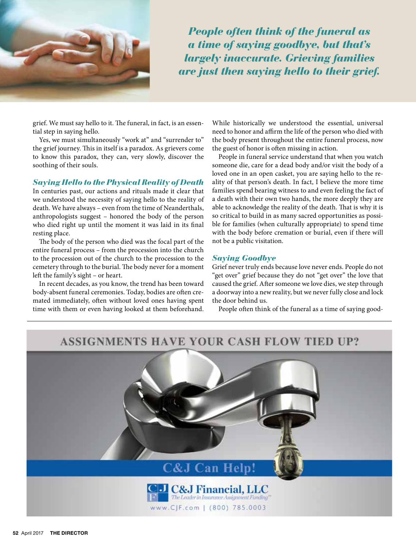

*People often think of the funeral as a time of saying goodbye, but that's largely inaccurate. Grieving families are just then saying hello to their grief.*

grief. We must say hello to it. The funeral, in fact, is an essential step in saying hello.

Yes, we must simultaneously "work at" and "surrender to" the grief journey. This in itself is a paradox. As grievers come to know this paradox, they can, very slowly, discover the soothing of their souls.

## *Saying Hello to the Physical Reality of Death*

In centuries past, our actions and rituals made it clear that we understood the necessity of saying hello to the reality of death. We have always – even from the time of Neanderthals, anthropologists suggest – honored the body of the person who died right up until the moment it was laid in its final resting place.

The body of the person who died was the focal part of the entire funeral process – from the procession into the church to the procession out of the church to the procession to the cemetery through to the burial. The body never for a moment left the family's sight – or heart.

In recent decades, as you know, the trend has been toward body-absent funeral ceremonies. Today, bodies are often cremated immediately, often without loved ones having spent time with them or even having looked at them beforehand. While historically we understood the essential, universal need to honor and affirm the life of the person who died with the body present throughout the entire funeral process, now the guest of honor is often missing in action.

People in funeral service understand that when you watch someone die, care for a dead body and/or visit the body of a loved one in an open casket, you are saying hello to the reality of that person's death. In fact, I believe the more time families spend bearing witness to and even feeling the fact of a death with their own two hands, the more deeply they are able to acknowledge the reality of the death. That is why it is so critical to build in as many sacred opportunities as possible for families (when culturally appropriate) to spend time with the body before cremation or burial, even if there will not be a public visitation.

## *Saying Goodbye*

Grief never truly ends because love never ends. People do not "get over" grief because they do not "get over" the love that caused the grief. After someone we love dies, we step through a doorway into a new reality, but we never fully close and lock the door behind us.

People often think of the funeral as a time of saying good-

## **ASSIGNMENTS HAVE YOUR CASH FLOW TIED UP?**